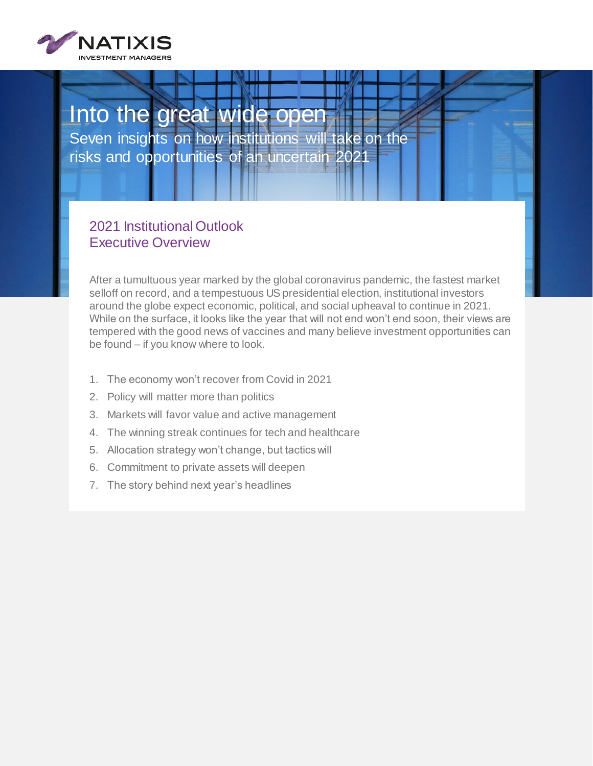

### Into the great wide open Seven insights on how institutions will take on the risks and opportunities of an uncertain 202

### 2021 Institutional Outlook Executive Overview

After a tumultuous year marked by the global coronavirus pandemic, the fastest market selloff on record, and a tempestuous US presidential election, institutional investors around the globe expect economic, political, and social upheaval to continue in 2021. While on the surface, it looks like the year that will not end won't end soon, their views are tempered with the good news of vaccines and many believe investment opportunities can be found – if you know where to look.

- 1. The economy won't recover from Covid in 2021
- 2. Policy will matter more than politics
- 3. Markets will favor value and active management
- 4. The winning streak continues for tech and healthcare
- 5. Allocation strategy won't change, but tactics will
- 6. Commitment to private assets will deepen
- 7. The story behind next year's headlines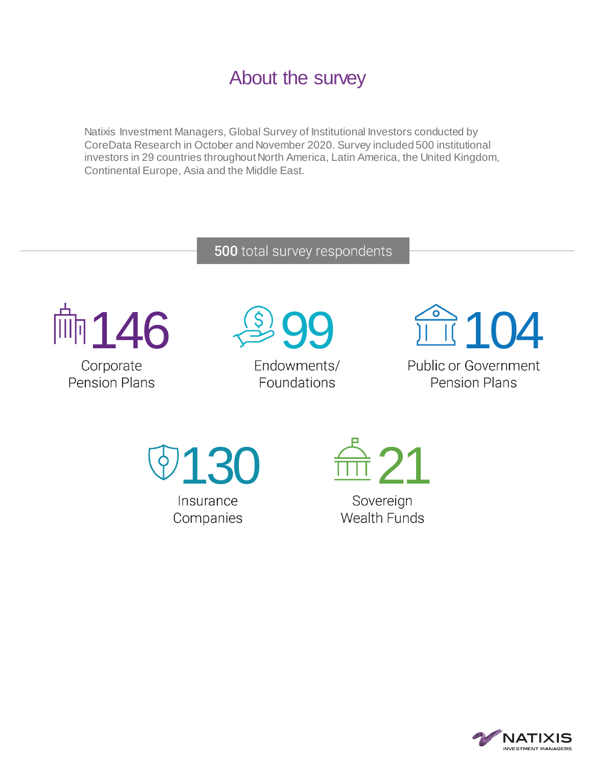## About the survey

Natixis Investment Managers, Global Survey of Institutional Investors conducted by CoreData Research in October and November 2020. Survey included 500 institutional investors in 29 countries throughout North America, Latin America, the United Kingdom, Continental Europe, Asia and the Middle East.

### 500 total survey respondents



**Pension Plans** 



Endowments/ Foundations



**Public or Government Pension Plans** 





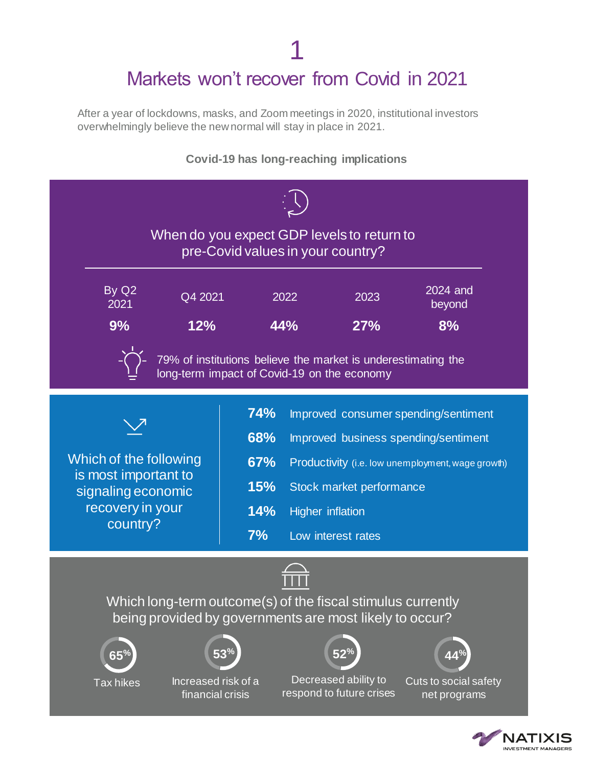## 1 Markets won't recover from Covid in 2021

After a year of lockdowns, masks, and Zoom meetings in 2020, institutional investors overwhelmingly believe the new normal will stay in place in 2021.



IATIXIS **IVESTMENT MANAGERS**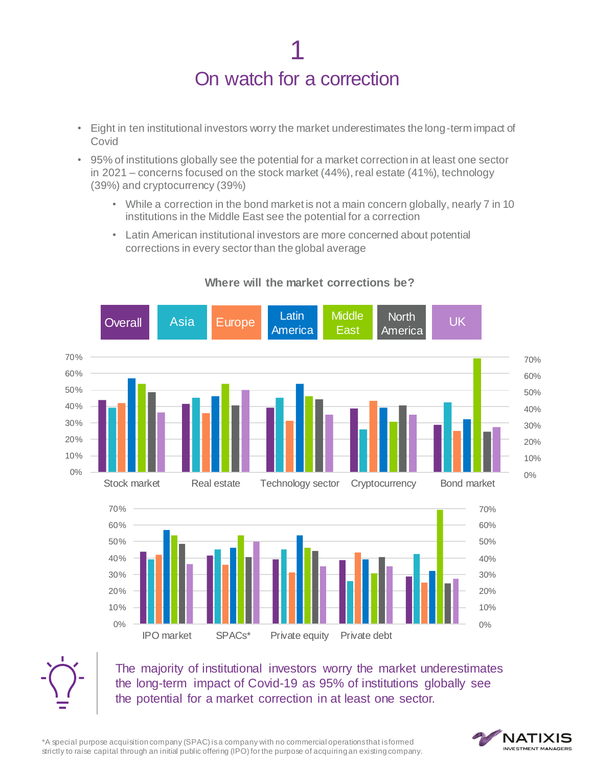## 1 On watch for a correction

- Eight in ten institutional investors worry the market underestimates the long-term impact of Covid
- 95% of institutions globally see the potential for a market correction in at least one sector in 2021 – concerns focused on the stock market (44%), real estate (41%), technology (39%) and cryptocurrency (39%)
	- While a correction in the bond market is not a main concern globally, nearly 7 in 10 institutions in the Middle East see the potential for a correction
	- Latin American institutional investors are more concerned about potential corrections in every sector than the global average



#### **Where will the market corrections be?**



The majority of institutional investors worry the market underestimates the long-term impact of Covid-19 as 95% of institutions globally see the potential for a market correction in at least one sector.

\*A special purpose acquisition company (SPAC) is a company with no commercial operations that is formed strictly to raise capital through an initial public offering (IPO) for the purpose of acquiring an existing company.

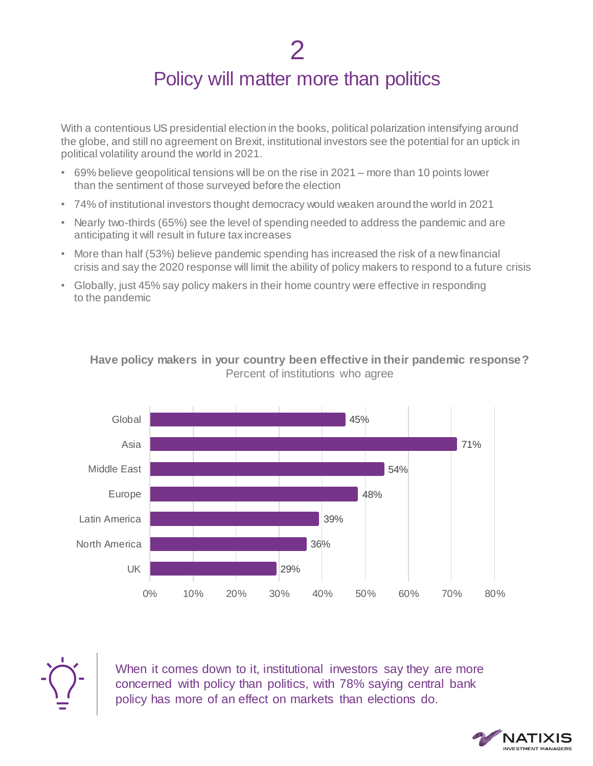### Policy will matter more than politics

With a contentious US presidential election in the books, political polarization intensifying around the globe, and still no agreement on Brexit, institutional investors see the potential for an uptick in political volatility around the world in 2021.

- 69% believe geopolitical tensions will be on the rise in 2021 more than 10 points lower than the sentiment of those surveyed before the election
- 74% of institutional investors thought democracy would weaken around the world in 2021
- Nearly two-thirds (65%) see the level of spending needed to address the pandemic and are anticipating it will result in future tax increases
- More than half (53%) believe pandemic spending has increased the risk of a new financial crisis and say the 2020 response will limit the ability of policy makers to respond to a future crisis
- Globally, just 45% say policy makers in their home country were effective in responding to the pandemic



#### **Have policy makers in your country been effective in their pandemic response?** Percent of institutions who agree



When it comes down to it, institutional investors say they are more concerned with policy than politics, with 78% saying central bank policy has more of an effect on markets than elections do.

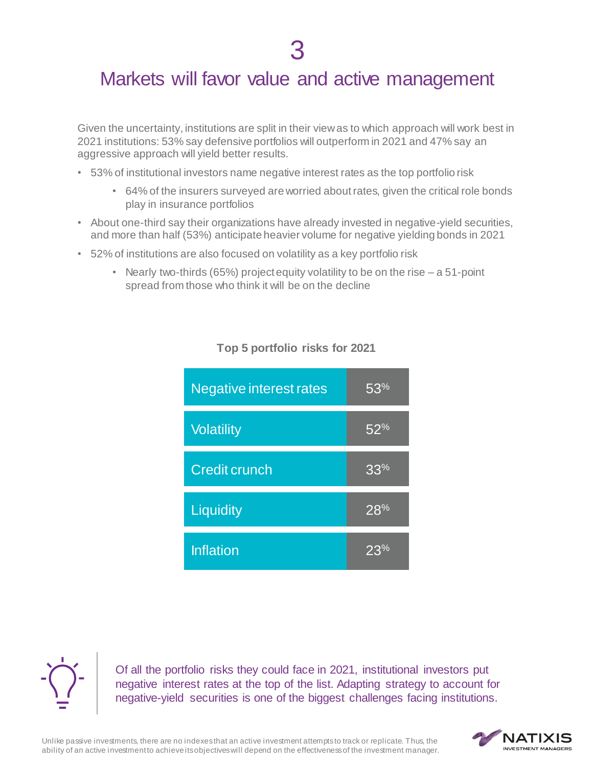### Markets will favor value and active management

Given the uncertainty, institutions are split in their view as to which approach will work best in 2021 institutions: 53% say defensive portfolios will outperform in 2021 and 47% say an aggressive approach will yield better results.

- 53% of institutional investors name negative interest rates as the top portfolio risk
	- 64% of the insurers surveyed are worried about rates, given the critical role bonds play in insurance portfolios
- About one-third say their organizations have already invested in negative-yield securities, and more than half (53%) anticipate heavier volume for negative yielding bonds in 2021
- 52% of institutions are also focused on volatility as a key portfolio risk
	- Nearly two-thirds (65%) project equity volatility to be on the rise  $a 51$ -point spread from those who think it will be on the decline

| <b>Negative interest rates</b> | 53%    |
|--------------------------------|--------|
| <b>Volatility</b>              | $52\%$ |
| <b>Credit crunch</b>           | 33%    |
| Liquidity                      | 28%    |
| <b>Inflation</b>               | 23%    |

#### **Top 5 portfolio risks for 2021**



Of all the portfolio risks they could face in 2021, institutional investors put negative interest rates at the top of the list. Adapting strategy to account for negative-yield securities is one of the biggest challenges facing institutions.

Unlike passive investments, there are no indexes that an active investment attempts to track or replicate. Thus, the ability of an active investment to achieve its objectives will depend on the effectiveness of the investment manager.

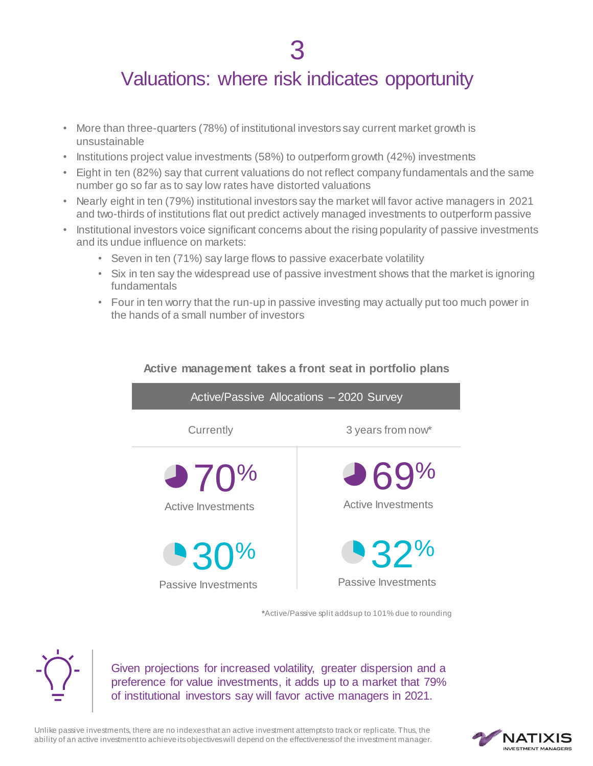### Valuations: where risk indicates opportunity

- More than three-quarters (78%) of institutional investors say current market growth is unsustainable
- Institutions project value investments (58%) to outperform growth (42%) investments
- Eight in ten (82%) say that current valuations do not reflect company fundamentals and the same number go so far as to say low rates have distorted valuations
- Nearly eight in ten (79%) institutional investors say the market will favor active managers in 2021 and two-thirds of institutions flat out predict actively managed investments to outperform passive
- Institutional investors voice significant concerns about the rising popularity of passive investments and its undue influence on markets:
	- Seven in ten (71%) say large flows to passive exacerbate volatility
	- Six in ten say the widespread use of passive investment shows that the market is ignoring fundamentals
	- Four in ten worry that the run-up in passive investing may actually put too much power in the hands of a small number of investors



**Active management takes a front seat in portfolio plans**

**\***Active/Passive split adds up to 101% due to rounding



Given projections for increased volatility, greater dispersion and a preference for value investments, it adds up to a market that 79% of institutional investors say will favor active managers in 2021.

Unlike passive investments, there are no indexes that an active investment attempts to track or replicate. Thus, the ability of an active investment to achieve its objectives will depend on the effectiveness of the investment manager.

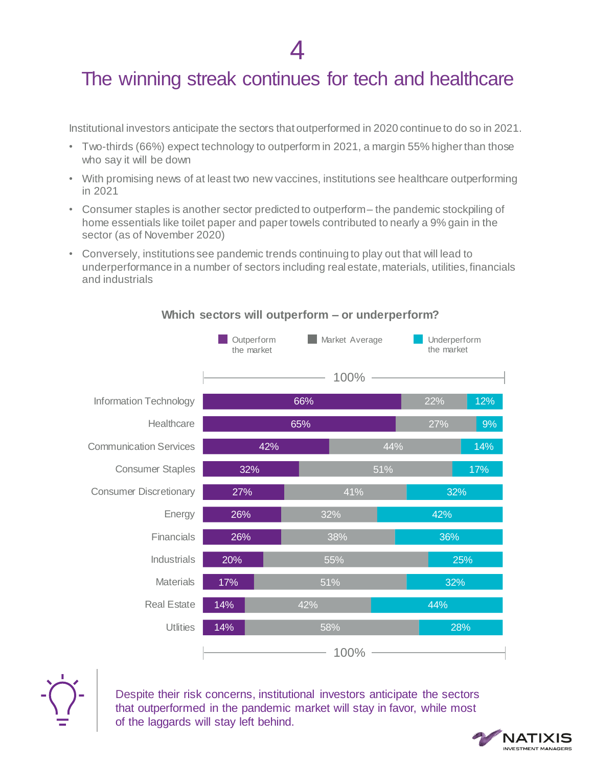### The winning streak continues for tech and healthcare

Institutional investors anticipate the sectors that outperformed in 2020 continue to do so in 2021.

- Two-thirds (66%) expect technology to outperform in 2021, a margin 55% higher than those who say it will be down
- With promising news of at least two new vaccines, institutions see healthcare outperforming in 2021
- Consumer staples is another sector predicted to outperform the pandemic stockpiling of home essentials like toilet paper and paper towels contributed to nearly a 9% gain in the sector (as of November 2020)
- Conversely, institutions see pandemic trends continuing to play out that will lead to underperformance in a number of sectors including real estate, materials, utilities, financials and industrials



#### **Which sectors will outperform – or underperform?**



Despite their risk concerns, institutional investors anticipate the sectors that outperformed in the pandemic market will stay in favor, while most of the laggards will stay left behind.

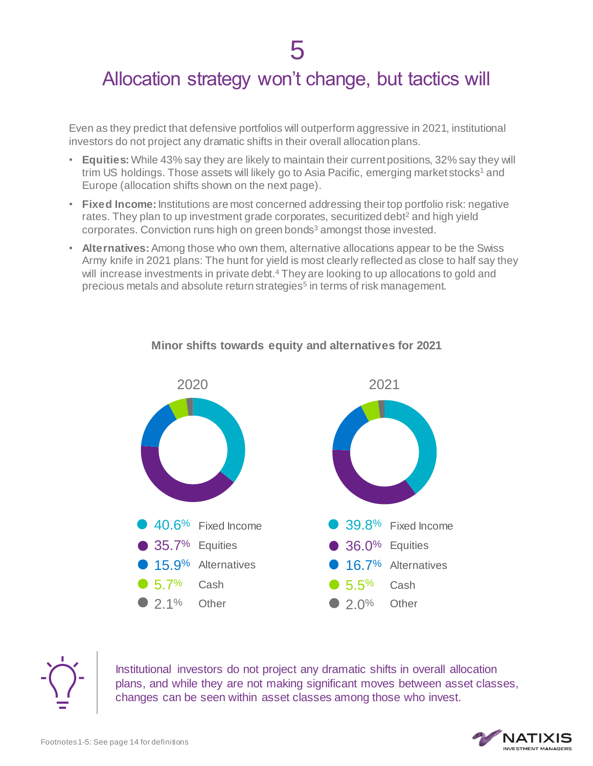### Allocation strategy won't change, but tactics will

Even as they predict that defensive portfolios will outperform aggressive in 2021, institutional investors do not project any dramatic shifts in their overall allocation plans.

- **Equities:** While 43% say they are likely to maintain their current positions, 32% say they will trim US holdings. Those assets will likely go to Asia Pacific, emerging market stocks<sup>1</sup> and Europe (allocation shifts shown on the next page).
- **Fixed Income:** Institutions are most concerned addressing their top portfolio risk: negative rates. They plan to up investment grade corporates, securitized debt<sup>2</sup> and high yield corporates. Conviction runs high on green bonds<sup>3</sup> amongst those invested.
- **Alternatives:** Among those who own them, alternative allocations appear to be the Swiss Army knife in 2021 plans: The hunt for yield is most clearly reflected as close to half say they will increase investments in private debt.<sup>4</sup> They are looking to up allocations to gold and precious metals and absolute return strategies<sup>5</sup> in terms of risk management.



#### **Minor shifts towards equity and alternatives for 2021**



Institutional investors do not project any dramatic shifts in overall allocation plans, and while they are not making significant moves between asset classes, changes can be seen within asset classes among those who invest.

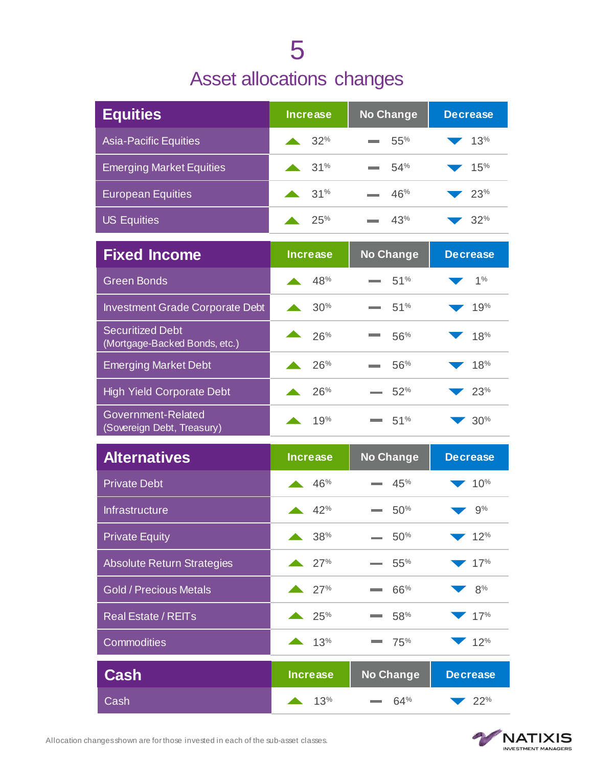## 5 Asset allocations changes

| <b>Equities</b>                                          | <b>Increase</b>         | <b>No Change</b> | <b>Decrease</b> |
|----------------------------------------------------------|-------------------------|------------------|-----------------|
| <b>Asia-Pacific Equities</b>                             | 32%                     | 55%              | 13%             |
| <b>Emerging Market Equities</b>                          | 31%                     | 54%              | 15%             |
| <b>European Equities</b>                                 | 31%                     | 46%              | 23%             |
| <b>US Equities</b>                                       | 25%                     | 43%              | 32%             |
| <b>Fixed Income</b>                                      | <b>Increase</b>         | <b>No Change</b> | <b>Decrease</b> |
| <b>Green Bonds</b>                                       | 48%                     | 51%              | 1%              |
| <b>Investment Grade Corporate Debt</b>                   | 30%                     | 51%              | 19%             |
| <b>Securitized Debt</b><br>(Mortgage-Backed Bonds, etc.) | 26%                     | 56%              | 18%             |
| <b>Emerging Market Debt</b>                              | 26%                     | 56%              | 18%             |
| <b>High Yield Corporate Debt</b>                         | 26%                     | 52%              | 23%             |
| Government-Related<br>(Sovereign Debt, Treasury)         | 19%                     | 51%              | 30%             |
| <b>Alternatives</b>                                      | <b>Increase</b>         | No Change        | <b>Decrease</b> |
| <b>Private Debt</b>                                      | 46%                     | 45%              | 10%             |
| Infrastructure                                           | 42%                     | 50%              | 9%              |
| <b>Private Equity</b>                                    | 38%<br>$\blacktriangle$ | 50%              | 12%             |
| <b>Absolute Return Strategies</b>                        | 27%                     | 55%              | 17%             |
| <b>Gold / Precious Metals</b>                            | 27%                     | 66%              | 8%              |
| <b>Real Estate / REITs</b>                               | 25%                     | 58%              | 17%             |
| Commodities                                              | 13%                     | 75%              | 12%             |
| <b>Cash</b>                                              | <b>Increase</b>         | <b>No Change</b> | <b>Decrease</b> |
| Cash                                                     | 13%                     | 64%              | $\sim 22\%$     |



Allocation changes shown are for those invested in each of the sub-asset classes.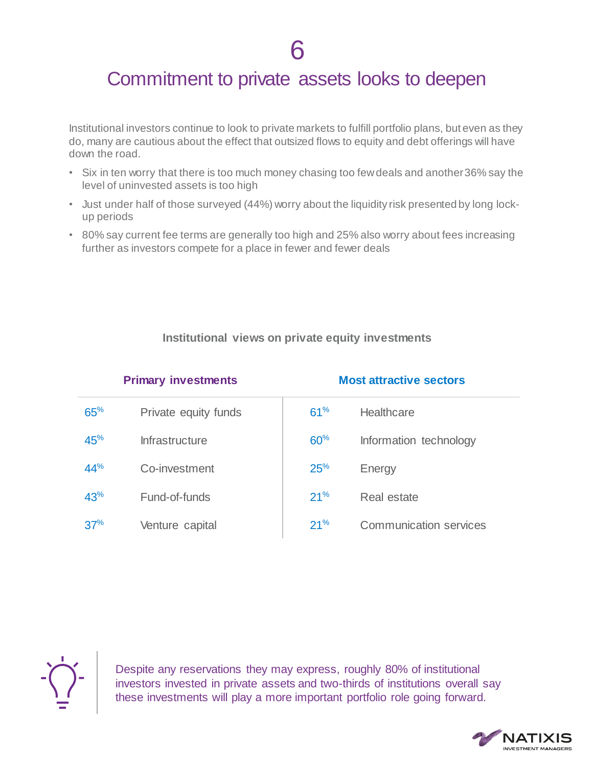### Commitment to private assets looks to deepen

Institutional investors continue to look to private markets to fulfill portfolio plans, but even as they do, many are cautious about the effect that outsized flows to equity and debt offerings will have down the road.

- Six in ten worry that there is too much money chasing too few deals and another 36% say the level of uninvested assets is too high
- Just under half of those surveyed (44%) worry about the liquidity risk presented by long lockup periods
- 80% say current fee terms are generally too high and 25% also worry about fees increasing further as investors compete for a place in fewer and fewer deals

#### **Institutional views on private equity investments**

| <b>Primary investments</b> |                       | <b>Most attractive sectors</b> |                               |
|----------------------------|-----------------------|--------------------------------|-------------------------------|
| 65%                        | Private equity funds  | 61%                            | Healthcare                    |
| 45%                        | <b>Infrastructure</b> | 60%                            | Information technology        |
| 44%                        | Co-investment         | 25%                            | Energy                        |
| 43%                        | Fund-of-funds         | 21%                            | Real estate                   |
| 37%                        | Venture capital       | 21%                            | <b>Communication services</b> |



Despite any reservations they may express, roughly 80% of institutional investors invested in private assets and two-thirds of institutions overall say these investments will play a more important portfolio role going forward.

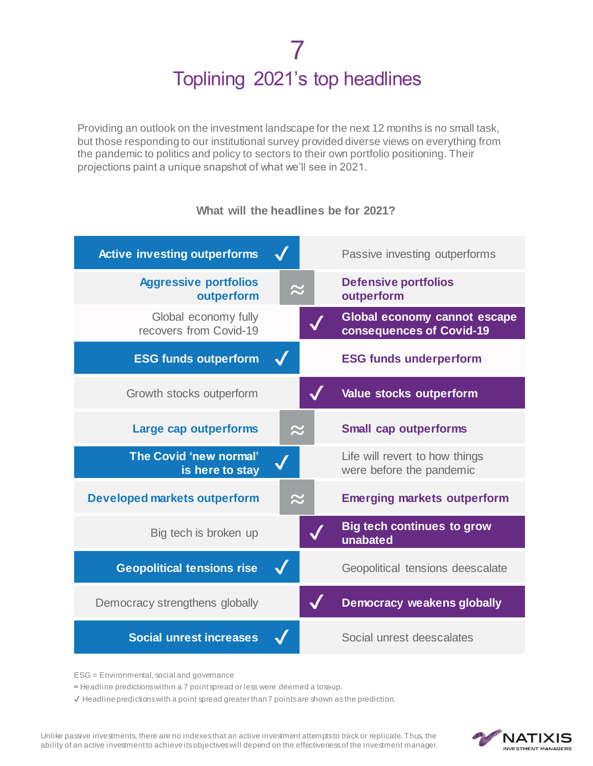## 7 Toplining 2021's top headlines

Providing an outlook on the investment landscape for the next 12 months is no small task, but those responding to our institutional survey provided diverse views on everything from the pandemic to politics and policy to sectors to their own portfolio positioning. Their projections paint a unique snapshot of what we'll see in 2021.

| <b>Active investing outperforms</b>            |           | Passive investing outperforms                              |
|------------------------------------------------|-----------|------------------------------------------------------------|
| <b>Aggressive portfolios</b><br>outperform     |           | <b>Defensive portfolios</b><br>outperform                  |
| Global economy fully<br>recovers from Covid-19 |           | Global economy cannot escape<br>consequences of Covid-19   |
| <b>ESG funds outperform</b>                    |           | <b>ESG funds underperform</b>                              |
| Growth stocks outperform                       |           | Value stocks outperform                                    |
| Large cap outperforms                          | $\approx$ | <b>Small cap outperforms</b>                               |
| The Covid 'new normal'<br>is here to stay      |           | Life will revert to how things<br>were before the pandemic |
| <b>Developed markets outperform</b>            |           | <b>Emerging markets outperform</b>                         |
| Big tech is broken up                          |           | <b>Big tech continues to grow</b><br>unabated              |
| <b>Geopolitical tensions rise</b>              |           | Geopolitical tensions deescalate                           |
| Democracy strengthens globally                 |           | <b>Democracy weakens globally</b>                          |
| <b>Social unrest increases</b>                 |           | Social unrest deescalates                                  |

#### **What will the headlines be for 2021?**

ESG = Environmental, social and governance

≈ Headline predictions within a 7 point spread or less were deemed a toss-up.

 $\checkmark$  Headline predictions with a point spread greater than  $7$  points are shown as the prediction.

Unlike passive investments, there are no indexes that an active investment attempts to track or replicate. Thus, the ability of an active investment to achieve its objectives will depend on the effectiveness of the investment manager.

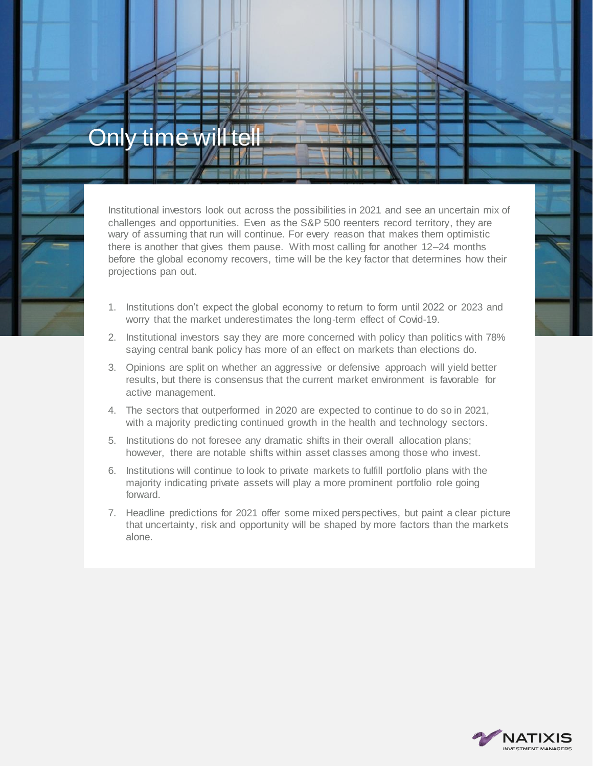## Only time will



Institutional investors look out across the possibilities in 2021 and see an uncertain mix of challenges and opportunities. Even as the S&P 500 reenters record territory, they are wary of assuming that run will continue. For every reason that makes them optimistic there is another that gives them pause. With most calling for another 12–24 months before the global economy recovers, time will be the key factor that determines how their projections pan out.

- 1. Institutions don't expect the global economy to return to form until 2022 or 2023 and worry that the market underestimates the long-term effect of Covid-19.
- 2. Institutional investors say they are more concerned with policy than politics with 78% saying central bank policy has more of an effect on markets than elections do.
- 3. Opinions are split on whether an aggressive or defensive approach will yield better results, but there is consensus that the current market environment is favorable for active management.
- 4. The sectors that outperformed in 2020 are expected to continue to do so in 2021, with a majority predicting continued growth in the health and technology sectors.
- 5. Institutions do not foresee any dramatic shifts in their overall allocation plans; however, there are notable shifts within asset classes among those who invest.
- 6. Institutions will continue to look to private markets to fulfill portfolio plans with the majority indicating private assets will play a more prominent portfolio role going forward.
- 7. Headline predictions for 2021 offer some mixed perspectives, but paint a clear picture that uncertainty, risk and opportunity will be shaped by more factors than the markets alone.

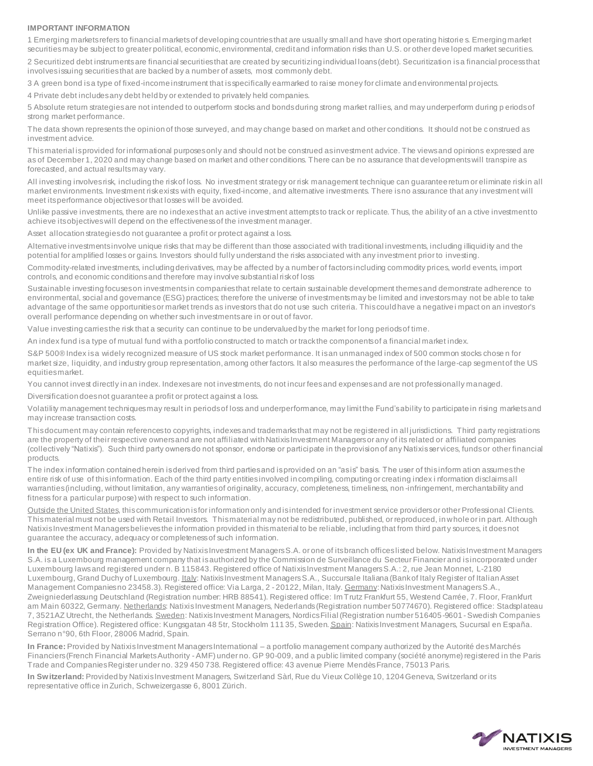#### **IMPORTANT INFORMATION**

1 Emerging markets refers to financial markets of developing countries that are usually small and have short operating historie s. Emerging market securities may be subject to greater political, economic, environmental, credit and information risks than U.S. or other deve loped market securities.

2 Securitized debt instruments are financial securities that are created by securitizing individual loans (debt). Securitization is a financial process that involves issuing securities that are backed by a number of assets, most commonly debt.

3 A green bond is a type of fixed-income instrument that is specifically earmarked to raise money for climate and environmental projects.

4 Private debt includes any debt held by or extended to privately held companies.

5 Absolute return strategies are not intended to outperform stocks and bonds during strong market rallies, and may underperform during p eriods of strong market performance.

The data shown represents the opinion of those surveyed, and may change based on market and other conditions. It should not be c onstrued as investment advice.

This material is provided for informational purposes only and should not be construed as investment advice. The views and opinions expressed are as of December 1, 2020 and may change based on market and other conditions. There can be no assurance that developments will transpire as forecasted, and actual results may vary.

All investing involves risk, including the risk of loss. No investment strategy or risk management technique can guarantee return or eliminate risk in all market environments. Investment risk exists with equity, fixed-income, and alternative investments. There is no assurance that any investment will meet its performance objectives or that losses will be avoided.

Unlike passive investments, there are no indexes that an active investment attempts to track or replicate. Thus, the ability of an a ctive investment to achieve its objectives will depend on the effectiveness of the investment manager.

Asset allocation strategies do not guarantee a profit or protect against a loss.

Alternative investments involve unique risks that may be different than those associated with traditional investments, including illiquidity and the potential for amplified losses or gains. Investors should fully understand the risks associated with any investment prior to investing.

Commodity-related investments, including derivatives, may be affected by a number of factors including commodity prices, world events, import controls, and economic conditions and therefore may involve substantial risk of loss

Sustainable investing focuses on investments in companies that relate to certain sustainable development themes and demonstrate adherence to environmental, social and governance (ESG) practices; therefore the universe of investments may be limited and investors may not be able to take advantage of the same opportunities or market trends as investors that do not use such criteria. This could have a negative i mpact on an investor's overall performance depending on whether such investments are in or out of favor.

Value investing carries the risk that a security can continue to be undervalued by the market for long periods of time.

An index fund is a type of mutual fund with a portfolio constructed to match or track the components of a financial market index.

S&P 500® Index is a widely recognized measure of US stock market performance. It is an unmanaged index of 500 common stocks chose n for market size, liquidity, and industry group representation, among other factors. It also measures the performance of the large-cap segment of the US equities market.

You cannot invest directly in an index. Indexes are not investments, do not incur fees and expenses and are not professionally managed.

Diversification does not guarantee a profit or protect against a loss.

Volatility management techniques may result in periods of loss and underperformance, may limit the Fund's ability to participate in rising markets and may increase transaction costs.

This document may contain references to copyrights, indexes and trademarks that may not be registered in all jurisdictions. Third party registrations are the property of their respective owners and are not affiliated with Natixis Investment Managers or any of its related or affiliated companies (collectively "Natixis"). Such third party owners do not sponsor, endorse or participate in the provision of any Natixis services, funds or other financial products.

The index information contained herein is derived from third parties and is provided on an "as is" basis. The user of this inform ation assumes the entire risk of use of this information. Each of the third party entities involved in compiling, computing or creating index i nformation disclaims all warranties (including, without limitation, any warranties of originality, accuracy, completeness, timeliness, non -infringement, merchantability and fitness for a particular purpose) with respect to such information.

Outside the United States, this communication is for information only and is intended for investment service providers or other Professional Clients. This material must not be used with Retail Investors. This material may not be redistributed, published, or reproduced, in whole or in part. Although Natixis Investment Managers believes the information provided in this material to be reliable, including that from third part y sources, it does not guarantee the accuracy, adequacy or completeness of such information.

**In the EU (ex UK and France):** Provided by Natixis Investment Managers S.A. or one of its branch offices listed below. Natixis Investment Managers S.A. is a Luxembourg management company that is authorized by the Commission de Surveillance du Secteur Financier and is incorporated under Luxembourg laws and registered under n. B 115843. Registered office of Natixis Investment Managers S.A.: 2, rue Jean Monnet, L-2180 Luxembourg, Grand Duchy of Luxembourg. Italy: Natixis Investment Managers S.A., Succursale Italiana (Bank of Italy Register of Italian Asset Management Companies no 23458.3). Registered office: Via Larga, 2 - 20122, Milan, Italy. Germany: Natixis Investment Managers S.A., Zweigniederlassung Deutschland (Registration number: HRB 88541). Registered office: Im Trutz Frankfurt 55, Westend Carrée, 7. Floor, Frankfurt am Main 60322, Germany. Netherlands: Natixis Investment Managers, Nederlands (Registration number 50774670). Registered office: Stadsplateau 7, 3521AZ Utrecht, the Netherlands. Sweden: Natixis Investment Managers, Nordics Filial (Registration number 516405-9601 - Swedish Companies Registration Office). Registered office: Kungsgatan 48 5tr, Stockholm 11135, Sweden. Spain: Natixis Investment Managers, Sucursal en España. Serrano n°90, 6th Floor, 28006 Madrid, Spain.

**In France:** Provided by Natixis Investment Managers International – a portfolio management company authorized by the Autorité des Marchés Financiers (French Financial Markets Authority - AMF) under no. GP 90-009, and a public limited company (société anonyme) registered in the Paris Trade and Companies Register under no. 329 450 738. Registered office: 43 avenue Pierre MendèsFrance, 75013 Paris.

**In Switzerland:** Provided by Natixis Investment Managers, Switzerland Sàrl, Rue du Vieux Collège 10, 1204 Geneva, Switzerland or its representative office in Zurich, Schweizergasse 6, 8001 Zürich.